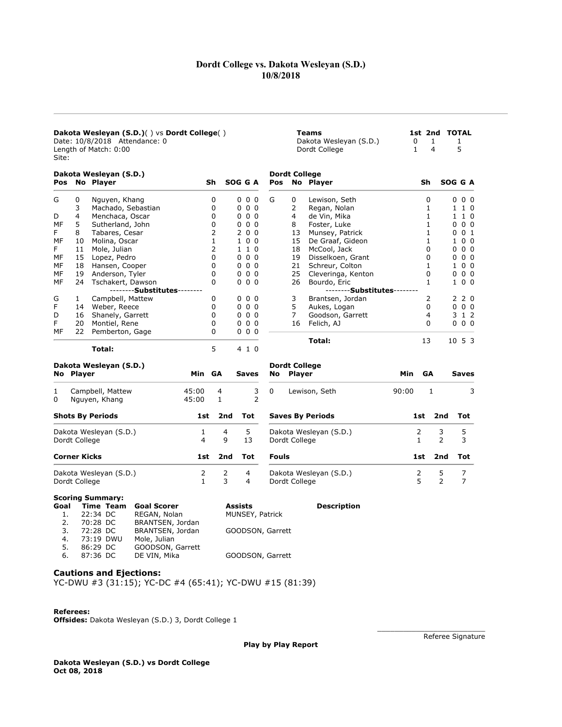# Dordt College vs. Dakota Wesleyan (S.D.) 10/8/2018

| Dakota Wesleyan (S.D.)() vs Dordt College()<br>Date: 10/8/2018 Attendance: 0<br>Length of Match: 0:00<br>Site: |                     |                                                                                                                                                                                                        |                |                   |                                                       |              |                                       | <b>Teams</b><br>Dakota Wesleyan (S.D.)<br>Dordt College | 0<br>$\mathbf{1}$ | 1<br>4         |     | 1st 2nd TOTAL<br>$\mathbf{1}$<br>5 |
|----------------------------------------------------------------------------------------------------------------|---------------------|--------------------------------------------------------------------------------------------------------------------------------------------------------------------------------------------------------|----------------|-------------------|-------------------------------------------------------|--------------|---------------------------------------|---------------------------------------------------------|-------------------|----------------|-----|------------------------------------|
|                                                                                                                |                     | Dakota Wesleyan (S.D.)                                                                                                                                                                                 |                |                   |                                                       |              | <b>Dordt College</b>                  |                                                         |                   |                |     |                                    |
|                                                                                                                |                     | Pos No Player                                                                                                                                                                                          |                | Sh                | SOG G A                                               | Pos          |                                       | No Player                                               |                   | Sh             |     | SOG G A                            |
| G                                                                                                              | 0                   | Nguyen, Khang                                                                                                                                                                                          |                | 0                 | 000                                                   | G            | 0                                     | Lewison, Seth                                           |                   | 0              |     | $0\quad 0\quad 0$                  |
|                                                                                                                | 3                   | Machado, Sebastian                                                                                                                                                                                     |                | 0                 | 000                                                   |              | $\overline{2}$                        | Regan, Nolan                                            |                   | $\mathbf{1}$   |     | 1 1 0                              |
| D                                                                                                              | 4                   | Menchaca, Oscar                                                                                                                                                                                        |                | 0                 | 000                                                   |              | 4                                     | de Vin, Mika                                            |                   | $\mathbf{1}$   |     | $1\ 0$<br>$\mathbf{1}$             |
| МF                                                                                                             | 5                   | Sutherland, John                                                                                                                                                                                       |                | 0                 | 000                                                   |              | 8                                     | Foster, Luke                                            |                   | $\mathbf{1}$   |     | 0 <sub>0</sub><br>0                |
| F                                                                                                              | 8                   | Tabares, Cesar                                                                                                                                                                                         |                | 2                 | 200                                                   |              | 13                                    | Munsey, Patrick                                         |                   | $\mathbf{1}$   |     | 0 0 1                              |
| МF                                                                                                             | 10                  | Molina, Oscar                                                                                                                                                                                          |                | 1                 | 100                                                   |              | 15                                    | De Graaf, Gideon                                        |                   | 1              |     | 1<br>0 <sub>0</sub>                |
| F                                                                                                              | 11                  | Mole, Julian                                                                                                                                                                                           |                | 2                 | 1 1 0                                                 |              | 18                                    | McCool, Jack                                            |                   | 0              |     | $0\,0\,0$                          |
| МF                                                                                                             |                     | 15 Lopez, Pedro                                                                                                                                                                                        |                | 0                 | 000                                                   |              | 19                                    | Disselkoen, Grant                                       |                   | 0              |     | 0 <sub>0</sub><br>0                |
| МF                                                                                                             |                     | 18 Hansen, Cooper                                                                                                                                                                                      |                | 0                 | $0\,0\,0$                                             |              | 21                                    | Schreur, Colton                                         |                   | 1              |     | 100                                |
| МF                                                                                                             |                     | 19 Anderson, Tyler                                                                                                                                                                                     |                | 0                 | $0\,0\,0$                                             |              | 25                                    | Cleveringa, Kenton                                      |                   | 0              |     | 0 <sub>0</sub><br>0                |
| МF                                                                                                             |                     | 24 Tschakert, Dawson                                                                                                                                                                                   |                | 0                 | $0\,0\,0$                                             |              | 26                                    | Bourdo, Eric                                            |                   | $\mathbf{1}$   |     | 100                                |
|                                                                                                                |                     | --------Substitutes--------                                                                                                                                                                            |                |                   |                                                       |              |                                       | --------Substitutes--------                             |                   |                |     |                                    |
| G                                                                                                              | 1                   | Campbell, Mattew                                                                                                                                                                                       |                | 0                 | 000                                                   |              | 3                                     | Brantsen, Jordan                                        |                   | $\overline{2}$ |     | 2 2 0                              |
| F                                                                                                              |                     | 14 Weber, Reece                                                                                                                                                                                        |                | 0                 | $0\,0\,0$                                             |              | 5                                     | Aukes, Logan                                            |                   | 0              |     | $0\,0\,0$                          |
| D                                                                                                              |                     | 16 Shanely, Garrett                                                                                                                                                                                    |                | 0                 | $0\,0\,0$                                             |              | 7                                     | Goodson, Garrett                                        |                   | 4              |     | 3 1 2                              |
| F                                                                                                              |                     | 20 Montiel, Rene                                                                                                                                                                                       |                | 0                 | $0\,0\,0$                                             |              | 16                                    | Felich, AJ                                              |                   | 0              |     | $0\,0\,0$                          |
| МF                                                                                                             |                     | 22 Pemberton, Gage                                                                                                                                                                                     |                | 0                 | $0\,0\,0$                                             |              |                                       | Total:                                                  |                   | 13             |     | 1053                               |
|                                                                                                                |                     | Total:                                                                                                                                                                                                 |                | 5                 | 4 1 0                                                 |              |                                       |                                                         |                   |                |     |                                    |
|                                                                                                                | No Player           | Dakota Wesleyan (S.D.)                                                                                                                                                                                 | Min GA         |                   | <b>Saves</b>                                          | No           | <b>Dordt College</b><br><b>Player</b> |                                                         | <b>Min</b>        | GA             |     | <b>Saves</b>                       |
| 1<br>0                                                                                                         |                     | Campbell, Mattew<br>Nguyen, Khang                                                                                                                                                                      | 45:00<br>45:00 | 4<br>$\mathbf{1}$ | 3<br>$\overline{2}$                                   | 0            |                                       | Lewison, Seth                                           | 90:00             | $\mathbf{1}$   |     | 3                                  |
|                                                                                                                |                     |                                                                                                                                                                                                        |                |                   |                                                       |              |                                       |                                                         |                   |                |     |                                    |
|                                                                                                                |                     | <b>Shots By Periods</b>                                                                                                                                                                                | 1st            | 2nd               | Tot                                                   |              |                                       | <b>Saves By Periods</b>                                 |                   | 1st            | 2nd | Tot                                |
|                                                                                                                |                     | Dakota Wesleyan (S.D.)                                                                                                                                                                                 | 1              | 4                 | 5                                                     |              |                                       | Dakota Wesleyan (S.D.)                                  |                   | 2              | 3   | 5                                  |
|                                                                                                                | Dordt College       |                                                                                                                                                                                                        | 4              | 9                 | 13                                                    |              | Dordt College                         |                                                         |                   | 1              | 2   | 3                                  |
|                                                                                                                | <b>Corner Kicks</b> |                                                                                                                                                                                                        | 1st            | 2nd               | Tot                                                   | <b>Fouls</b> |                                       |                                                         |                   | 1st            | 2nd | Tot                                |
|                                                                                                                |                     | Dakota Wesleyan (S.D.)                                                                                                                                                                                 | $\overline{2}$ | $\overline{2}$    | 4                                                     |              |                                       | Dakota Wesleyan (S.D.)                                  |                   | $\mathbf 2$    | 5   | $\overline{7}$                     |
|                                                                                                                | Dordt College       |                                                                                                                                                                                                        | $\mathbf{1}$   | 3                 | 4                                                     |              | Dordt College                         |                                                         |                   | 5              | 2   | $\overline{7}$                     |
| Goal<br>1.<br>2.<br>3.<br>$\lambda$                                                                            |                     | <b>Scoring Summary:</b><br><b>Goal Scorer</b><br>Time Team<br>22:34 DC<br>REGAN, Nolan<br>70:28 DC<br>BRANTSEN, Jordan<br>72:28 DC<br>BRANTSEN, Jordan<br>$72.10$ $N$ $N$ $l$ $l$<br>$M \cap I \cap I$ |                |                   | <b>Assists</b><br>MUNSEY, Patrick<br>GOODSON, Garrett |              |                                       | <b>Description</b>                                      |                   |                |     |                                    |

Play by Play Report

## Cautions and Ejections:

4. 73:19 DWU Mole, Julian 5. 86:29 DC GOODSON, Garrett

YC-DWU #3 (31:15); YC-DC #4 (65:41); YC-DWU #15 (81:39)

6. 87:36 DC DE VIN, Mika GOODSON, Garrett

# Referees:

Offsides: Dakota Wesleyan (S.D.) 3, Dordt College 1

Referee Signature

\_\_\_\_\_\_\_\_\_\_\_\_\_\_\_\_\_\_\_\_\_\_\_\_\_

Dakota Wesleyan (S.D.) vs Dordt College Oct 08, 2018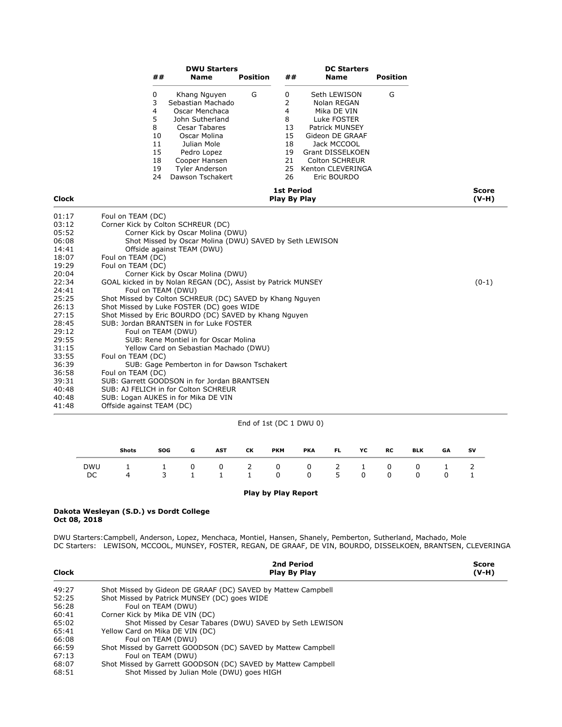|              |                           |                                                           | <b>DWU Starters</b>                                                                                                                                                                                        |                 |                                                                                      | <b>DC Starters</b>                                                                                                                                                                                    |                 |                         |
|--------------|---------------------------|-----------------------------------------------------------|------------------------------------------------------------------------------------------------------------------------------------------------------------------------------------------------------------|-----------------|--------------------------------------------------------------------------------------|-------------------------------------------------------------------------------------------------------------------------------------------------------------------------------------------------------|-----------------|-------------------------|
|              |                           | ##                                                        | Name                                                                                                                                                                                                       | <b>Position</b> | ##                                                                                   | Name                                                                                                                                                                                                  | <b>Position</b> |                         |
|              |                           | 0<br>3<br>4<br>5<br>8<br>10<br>11<br>15<br>18<br>19<br>24 | Khang Nguyen<br>Sebastian Machado<br>Oscar Menchaca<br>John Sutherland<br><b>Cesar Tabares</b><br>Oscar Molina<br>Julian Mole<br>Pedro Lopez<br>Cooper Hansen<br><b>Tyler Anderson</b><br>Dawson Tschakert | G               | 0<br>$\overline{2}$<br>$\overline{4}$<br>8<br>13<br>15<br>18<br>19<br>21<br>25<br>26 | Seth LEWISON<br>Nolan REGAN<br>Mika DE VIN<br>Luke FOSTER<br><b>Patrick MUNSEY</b><br>Gideon DE GRAAF<br>Jack MCCOOL<br>Grant DISSELKOEN<br><b>Colton SCHREUR</b><br>Kenton CLEVERINGA<br>Eric BOURDO | G               |                         |
| <b>Clock</b> |                           |                                                           |                                                                                                                                                                                                            |                 | <b>1st Period</b><br>Play By Play                                                    |                                                                                                                                                                                                       |                 | <b>Score</b><br>$(V-H)$ |
| 01:17        | Foul on TEAM (DC)         |                                                           |                                                                                                                                                                                                            |                 |                                                                                      |                                                                                                                                                                                                       |                 |                         |
| 03:12        |                           |                                                           | Corner Kick by Colton SCHREUR (DC)                                                                                                                                                                         |                 |                                                                                      |                                                                                                                                                                                                       |                 |                         |
| 05:52        |                           |                                                           | Corner Kick by Oscar Molina (DWU)                                                                                                                                                                          |                 |                                                                                      |                                                                                                                                                                                                       |                 |                         |
| 06:08        |                           |                                                           | Shot Missed by Oscar Molina (DWU) SAVED by Seth LEWISON                                                                                                                                                    |                 |                                                                                      |                                                                                                                                                                                                       |                 |                         |
| 14:41        |                           |                                                           | Offside against TEAM (DWU)                                                                                                                                                                                 |                 |                                                                                      |                                                                                                                                                                                                       |                 |                         |
| 18:07        | Foul on TEAM (DC)         |                                                           |                                                                                                                                                                                                            |                 |                                                                                      |                                                                                                                                                                                                       |                 |                         |
| 19:29        | Foul on TEAM (DC)         |                                                           |                                                                                                                                                                                                            |                 |                                                                                      |                                                                                                                                                                                                       |                 |                         |
| 20:04        |                           |                                                           | Corner Kick by Oscar Molina (DWU)                                                                                                                                                                          |                 |                                                                                      |                                                                                                                                                                                                       |                 |                         |
| 22:34        |                           |                                                           | GOAL kicked in by Nolan REGAN (DC), Assist by Patrick MUNSEY                                                                                                                                               |                 |                                                                                      |                                                                                                                                                                                                       |                 | $(0-1)$                 |
| 24:41        |                           |                                                           | Foul on TEAM (DWU)                                                                                                                                                                                         |                 |                                                                                      |                                                                                                                                                                                                       |                 |                         |
| 25:25        |                           |                                                           | Shot Missed by Colton SCHREUR (DC) SAVED by Khang Nguyen                                                                                                                                                   |                 |                                                                                      |                                                                                                                                                                                                       |                 |                         |
| 26:13        |                           |                                                           | Shot Missed by Luke FOSTER (DC) goes WIDE                                                                                                                                                                  |                 |                                                                                      |                                                                                                                                                                                                       |                 |                         |
| 27:15        |                           |                                                           | Shot Missed by Eric BOURDO (DC) SAVED by Khang Nguyen                                                                                                                                                      |                 |                                                                                      |                                                                                                                                                                                                       |                 |                         |
| 28:45        |                           |                                                           | SUB: Jordan BRANTSEN in for Luke FOSTER                                                                                                                                                                    |                 |                                                                                      |                                                                                                                                                                                                       |                 |                         |
| 29:12        |                           |                                                           | Foul on TEAM (DWU)                                                                                                                                                                                         |                 |                                                                                      |                                                                                                                                                                                                       |                 |                         |
| 29:55        |                           |                                                           | SUB: Rene Montiel in for Oscar Molina                                                                                                                                                                      |                 |                                                                                      |                                                                                                                                                                                                       |                 |                         |
| 31:15        |                           |                                                           | Yellow Card on Sebastian Machado (DWU)                                                                                                                                                                     |                 |                                                                                      |                                                                                                                                                                                                       |                 |                         |
| 33:55        | Foul on TEAM (DC)         |                                                           |                                                                                                                                                                                                            |                 |                                                                                      |                                                                                                                                                                                                       |                 |                         |
| 36:39        |                           |                                                           | SUB: Gage Pemberton in for Dawson Tschakert                                                                                                                                                                |                 |                                                                                      |                                                                                                                                                                                                       |                 |                         |
| 36:58        | Foul on TEAM (DC)         |                                                           |                                                                                                                                                                                                            |                 |                                                                                      |                                                                                                                                                                                                       |                 |                         |
| 39:31        |                           |                                                           | SUB: Garrett GOODSON in for Jordan BRANTSEN                                                                                                                                                                |                 |                                                                                      |                                                                                                                                                                                                       |                 |                         |
| 40:48        |                           |                                                           | SUB: AJ FELICH in for Colton SCHREUR                                                                                                                                                                       |                 |                                                                                      |                                                                                                                                                                                                       |                 |                         |
| 40:48        |                           |                                                           | SUB: Logan AUKES in for Mika DE VIN                                                                                                                                                                        |                 |                                                                                      |                                                                                                                                                                                                       |                 |                         |
| 41:48        | Offside against TEAM (DC) |                                                           |                                                                                                                                                                                                            |                 |                                                                                      |                                                                                                                                                                                                       |                 |                         |

# End of 1st (DC 1 DWU 0)

|     | Shots                         | SOG | G | <b>AST</b> | CK. | РКМ               | PKA FL | YC 1 | RC | <b>BLK</b>   | GA             | <b>SV</b> |
|-----|-------------------------------|-----|---|------------|-----|-------------------|--------|------|----|--------------|----------------|-----------|
| DC. | DWU 1 1 0 0 2 0 0 2 1 0 0 1 2 |     |   |            |     | 3 1 1 1 0 0 5 0 0 |        |      |    | $\mathbf{0}$ | $\overline{0}$ |           |

## Play by Play Report

### Dakota Wesleyan (S.D.) vs Dordt College Oct 08, 2018

DWU Starters:Campbell, Anderson, Lopez, Menchaca, Montiel, Hansen, Shanely, Pemberton, Sutherland, Machado, Mole DC Starters: LEWISON, MCCOOL, MUNSEY, FOSTER, REGAN, DE GRAAF, DE VIN, BOURDO, DISSELKOEN, BRANTSEN, CLEVERINGA

| <b>Clock</b> | 2nd Period<br>Play By Play                                   | <b>Score</b><br>$(V-H)$ |
|--------------|--------------------------------------------------------------|-------------------------|
| 49:27        | Shot Missed by Gideon DE GRAAF (DC) SAVED by Mattew Campbell |                         |
| 52:25        | Shot Missed by Patrick MUNSEY (DC) goes WIDE                 |                         |
| 56:28        | Foul on TEAM (DWU)                                           |                         |
| 60:41        | Corner Kick by Mika DE VIN (DC)                              |                         |
| 65:02        | Shot Missed by Cesar Tabares (DWU) SAVED by Seth LEWISON     |                         |
| 65:41        | Yellow Card on Mika DE VIN (DC)                              |                         |
| 66:08        | Foul on TEAM (DWU)                                           |                         |
| 66:59        | Shot Missed by Garrett GOODSON (DC) SAVED by Mattew Campbell |                         |
| 67:13        | Foul on TEAM (DWU)                                           |                         |
| 68:07        | Shot Missed by Garrett GOODSON (DC) SAVED by Mattew Campbell |                         |
| 68:51        | Shot Missed by Julian Mole (DWU) goes HIGH                   |                         |